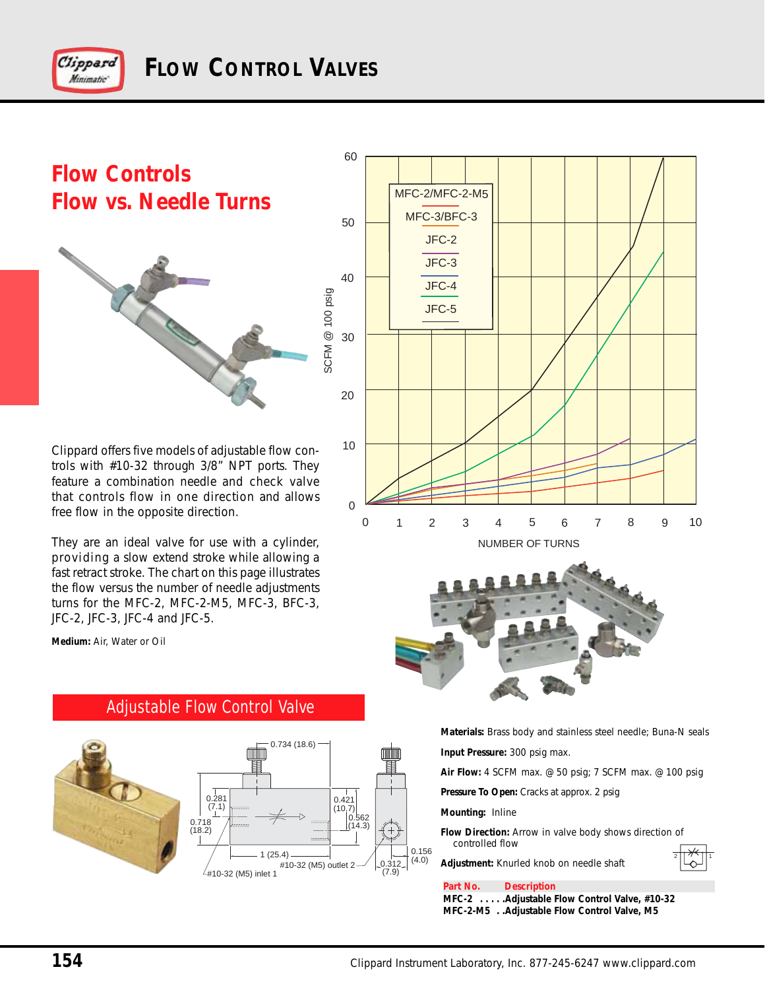

# **Flow Controls Flow vs. Needle Turns**



<sup>10</sup> Clippard offers five models of adjustable flow controls with #10-32 through 3/8" NPT ports. They feature a combination needle and check valve that controls flow in one direction and allows free flow in the opposite direction.

They are an ideal valve for use with a cylinder, providing a slow extend stroke while allowing a fast retract stroke. The chart on this page illustrates the flow versus the number of needle adjustments turns for the MFC-2, MFC-2-M5, MFC-3, BFC-3, JFC-2, JFC-3, JFC-4 and JFC-5.

**Medium:** Air, Water or Oil





## Adjustable Flow Control Valve





**Materials:** Brass body and stainless steel needle; Buna-N seals **Input Pressure:** 300 psig max.

**Air Flow:** 4 SCFM max. @ 50 psig; 7 SCFM max. @ 100 psig

**Pressure To Open:** Cracks at approx. 2 psig

**Adjustment:** Knurled knob on needle shaft

#### **Mounting:** Inline

**Flow Direction:** Arrow in valve body shows direction of controlled flow



**Part No. Description**

**MFC-2 . . . . .Adjustable Flow Control Valve, #10-32 MFC-2-M5 . .Adjustable Flow Control Valve, M5**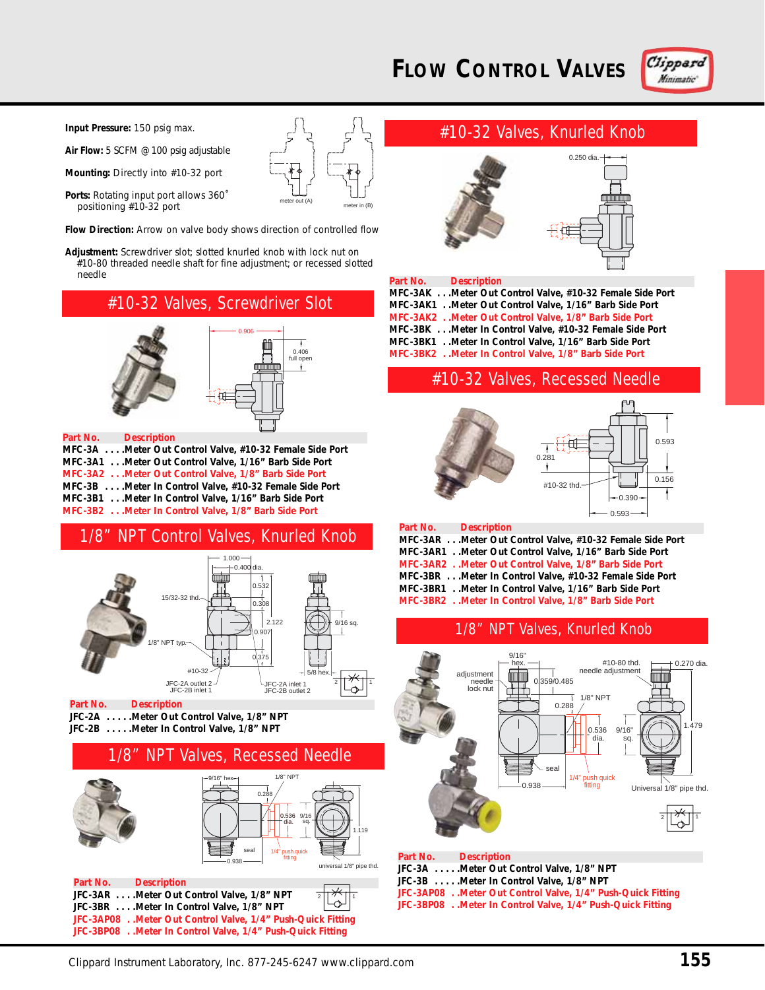# **FLOW CONTROL VALVES**



**Input Pressure:** 150 psig max.

**Air Flow:** 5 SCFM @ 100 psig adjustable

**Mounting:** Directly into #10-32 port

Ports: Rotating input port allows 360° positioning #10-32 port

**Flow Direction:** Arrow on valve body shows direction of controlled flow

meter out (A) meter in (B)

**Adjustment:** Screwdriver slot; slotted knurled knob with lock nut on #10-80 threaded needle shaft for fine adjustment; or recessed slotted needle

## #10-32 Valves, Screwdriver Slot



#### **Part No. Description**

**MFC-3A . . . .Meter Out Control Valve, #10-32 Female Side Port MFC-3A1 . . .Meter Out Control Valve, 1/16" Barb Side Port MFC-3A2 . . .Meter Out Control Valve, 1/8" Barb Side Port MFC-3B . . . .Meter In Control Valve, #10-32 Female Side Port MFC-3B1 . . .Meter In Control Valve, 1/16" Barb Side Port MFC-3B2 . . .Meter In Control Valve, 1/8" Barb Side Port**

## 1/8" NPT Control Valves, Knurled Knob



#### **Part No. Description JFC-2A . . . . .Meter Out Control Valve, 1/8" NPT JFC-2B . . . . .Meter In Control Valve, 1/8" NPT**

### 1/8" NPT Valves, Recessed Needle

1.119

universal 1/8" pipe thd.



**JFC-3AR . . . .Meter Out Control Valve, 1/8" NPT JFC-3BR . . . .Meter In Control Valve, 1/8" NPT JFC-3AP08 . .Meter Out Control Valve, 1/4" Push-Quick Fitting JFC-3BP08 . .Meter In Control Valve, 1/4" Push-Quick Fitting** 2 | | '' ` | | 1

# #10-32 Valves, Knurled Knob



| Part No. Description |                                                          |
|----------------------|----------------------------------------------------------|
|                      | MFC-3AK Meter Out Control Valve, #10-32 Female Side Port |
|                      | MFC-3AK1 . Meter Out Control Valve, 1/16" Barb Side Port |
|                      | MFC-3AK2 . Meter Out Control Valve, 1/8" Barb Side Port  |
|                      | MFC-3BK Meter In Control Valve, #10-32 Female Side Port  |
|                      | MFC-3BK1 Meter In Control Valve, 1/16" Barb Side Port    |
|                      | MFC-3BK2 . Meter In Control Valve, 1/8" Barb Side Port   |

## #10-32 Valves, Recessed Needle



| Part No. Description                                     |
|----------------------------------------------------------|
| MFC-3AR Meter Out Control Valve, #10-32 Female Side Port |
| MFC-3AR1 Meter Out Control Valve, 1/16" Barb Side Port   |
| MFC-3AR2 Meter Out Control Valve, 1/8" Barb Side Port    |
| MFC-3BR Meter In Control Valve, #10-32 Female Side Port  |
| MFC-3BR1Meter In Control Valve, 1/16" Barb Side Port     |
| MFC-3BR2 Meter In Control Valve, 1/8" Barb Side Port     |
|                                                          |

### 1/8" NPT Valves, Knurled Knob



**JFC-3B . . . . .Meter In Control Valve, 1/8" NPT JFC-3AP08 . .Meter Out Control Valve, 1/4" Push-Quick Fitting JFC-3BP08 . .Meter In Control Valve, 1/4" Push-Quick Fitting**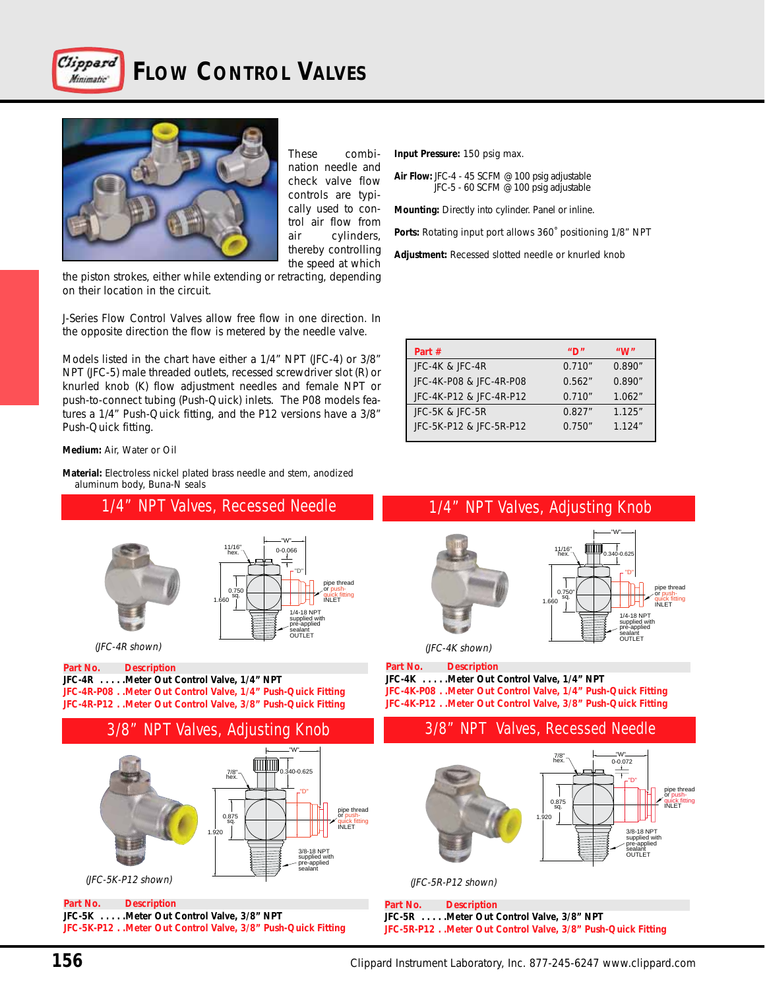

# **FLOW CONTROL VALVES**



These combination needle and check valve flow controls are typically used to control air flow from air cylinders, thereby controlling the speed at which

> pipe thread or push-<br>quick fitting<br>INLET

the piston strokes, either while extending or retracting, depending on their location in the circuit.

J-Series Flow Control Valves allow free flow in one direction. In the opposite direction the flow is metered by the needle valve.

Models listed in the chart have either a 1/4" NPT (JFC-4) or 3/8" NPT (JFC-5) male threaded outlets, recessed screwdriver slot (R) or knurled knob (K) flow adjustment needles and female NPT or push-to-connect tubing (Push-Quick) inlets. The P08 models features a 1/4" Push-Quick fitting, and the P12 versions have a 3/8" Push-Quick fitting.

**Medium:** Air, Water or Oil

**Material:** Electroless nickel plated brass needle and stem, anodized aluminum body, Buna-N seals

1/4" NPT Valves, Recessed Needle



#### **Part No. Description JFC-4R . . . . .Meter Out Control Valve, 1/4" NPT**

**JFC-4R-P08 . .Meter Out Control Valve, 1/4" Push-Quick Fitting JFC-4R-P12 . .Meter Out Control Valve, 3/8" Push-Quick Fitting**



**Part No. Description JFC-5K . . . . .Meter Out Control Valve, 3/8" NPT JFC-5K-P12 . .Meter Out Control Valve, 3/8" Push-Quick Fitting** **Input Pressure:** 150 psig max.

**Air Flow:** JFC-4 - 45 SCFM @ 100 psig adjustable JFC-5 - 60 SCFM @ 100 psig adjustable

**Mounting:** Directly into cylinder. Panel or inline.

**Ports:** Rotating input port allows 360˚ positioning 1/8" NPT

**Adjustment:** Recessed slotted needle or knurled knob

| Part #                  | "ח     | "W"     |
|-------------------------|--------|---------|
| JFC-4K & JFC-4R         | 0.710" | 0.890"  |
| JFC-4K-P08 & JFC-4R-P08 | 0.562" | 0.890"  |
| JFC-4K-P12 & JFC-4R-P12 | 0.710" | 1.062"  |
| $FC-5K$ & $FC-5R$       | 0.827" | 1.125'' |
| JFC-5K-P12 & JFC-5R-P12 | 0.750" | 1.124'' |

## 1/4" NPT Valves, Adjusting Knob



(JFC-4R shown) (JFC-4K shown)

**Part No. Description**

**JFC-4K . . . . .Meter Out Control Valve, 1/4" NPT JFC-4K-P08 . .Meter Out Control Valve, 1/4" Push-Quick Fitting JFC-4K-P12 . .Meter Out Control Valve, 3/8" Push-Quick Fitting**



(JFC-5R-P12 shown)

**Part No. Description JFC-5R . . . . .Meter Out Control Valve, 3/8" NPT JFC-5R-P12 . .Meter Out Control Valve, 3/8" Push-Quick Fitting**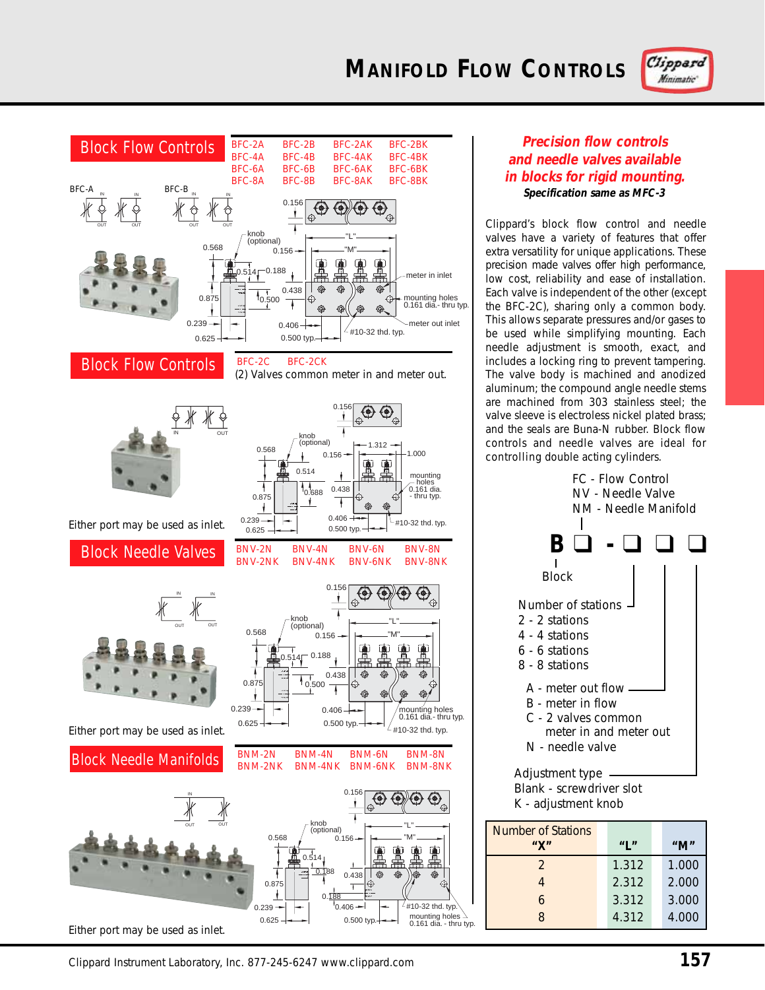



### **Precision flow controls and needle valves available in blocks for rigid mounting. Specification same as MFC-3**

Clippard's block flow control and needle valves have a variety of features that offer extra versatility for unique applications. These precision made valves offer high performance, low cost, reliability and ease of installation. Each valve is independent of the other (except the BFC-2C), sharing only a common body. This allows separate pressures and/or gases to be used while simplifying mounting. Each needle adjustment is smooth, exact, and includes a locking ring to prevent tampering. The valve body is machined and anodized aluminum; the compound angle needle stems are machined from 303 stainless steel; the valve sleeve is electroless nickel plated brass; and the seals are Buna-N rubber. Block flow controls and needle valves are ideal for controlling double acting cylinders.



8 4.312 4.000